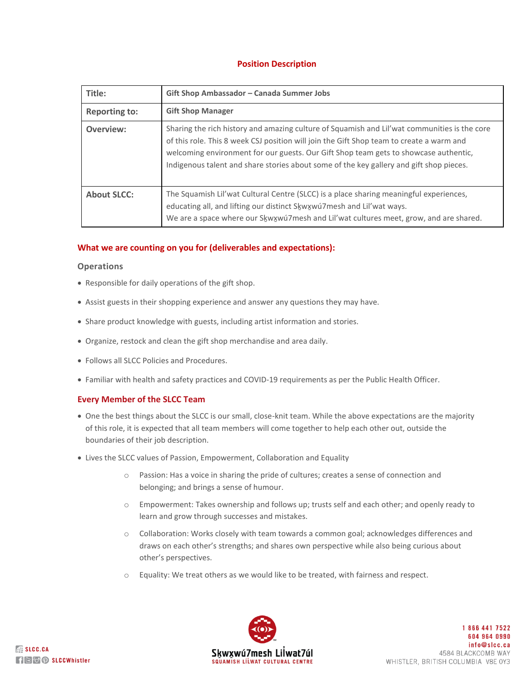# **Position Description**

| Title:               | Gift Shop Ambassador - Canada Summer Jobs                                                                                                                                                                                                                                                                                                                                   |
|----------------------|-----------------------------------------------------------------------------------------------------------------------------------------------------------------------------------------------------------------------------------------------------------------------------------------------------------------------------------------------------------------------------|
| <b>Reporting to:</b> | <b>Gift Shop Manager</b>                                                                                                                                                                                                                                                                                                                                                    |
| Overview:            | Sharing the rich history and amazing culture of Squamish and Lil'wat communities is the core<br>of this role. This 8 week CSJ position will join the Gift Shop team to create a warm and<br>welcoming environment for our guests. Our Gift Shop team gets to showcase authentic,<br>Indigenous talent and share stories about some of the key gallery and gift shop pieces. |
| <b>About SLCC:</b>   | The Squamish Lil'wat Cultural Centre (SLCC) is a place sharing meaningful experiences,<br>educating all, and lifting our distinct Skwxwu7mesh and Lil'wat ways.<br>We are a space where our Skwxwuzmesh and Lil'wat cultures meet, grow, and are shared.                                                                                                                    |

## **What we are counting on you for (deliverables and expectations):**

#### **Operations**

- Responsible for daily operations of the gift shop.
- Assist guests in their shopping experience and answer any questions they may have.
- Share product knowledge with guests, including artist information and stories.
- Organize, restock and clean the gift shop merchandise and area daily.
- Follows all SLCC Policies and Procedures.
- Familiar with health and safety practices and COVID-19 requirements as per the Public Health Officer.

#### **Every Member of the SLCC Team**

- One the best things about the SLCC is our small, close-knit team. While the above expectations are the majority of this role, it is expected that all team members will come together to help each other out, outside the boundaries of their job description.
- Lives the SLCC values of Passion, Empowerment, Collaboration and Equality
	- o Passion: Has a voice in sharing the pride of cultures; creates a sense of connection and belonging; and brings a sense of humour.
	- $\circ$  Empowerment: Takes ownership and follows up; trusts self and each other; and openly ready to learn and grow through successes and mistakes.
	- o Collaboration: Works closely with team towards a common goal; acknowledges differences and draws on each other's strengths; and shares own perspective while also being curious about other's perspectives.
	- o Equality: We treat others as we would like to be treated, with fairness and respect.